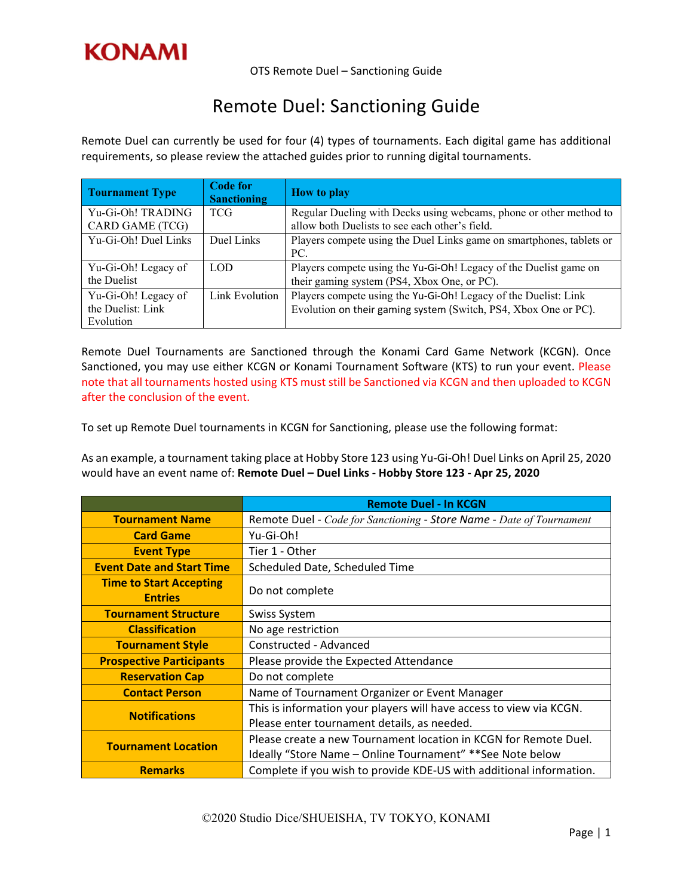

OTS Remote Duel – Sanctioning Guide

## Remote Duel: Sanctioning Guide

Remote Duel can currently be used for four (4) types of tournaments. Each digital game has additional requirements, so please review the attached guides prior to running digital tournaments.

| <b>Tournament Type</b>                                | <b>Code for</b><br><b>Sanctioning</b> | <b>How to play</b>                                                                                                                 |
|-------------------------------------------------------|---------------------------------------|------------------------------------------------------------------------------------------------------------------------------------|
| Yu-Gi-Oh! TRADING<br>CARD GAME (TCG)                  | <b>TCG</b>                            | Regular Dueling with Decks using webcams, phone or other method to<br>allow both Duelists to see each other's field.               |
| Yu-Gi-Oh! Duel Links                                  | Duel Links                            | Players compete using the Duel Links game on smartphones, tablets or<br>PC.                                                        |
| Yu-Gi-Oh! Legacy of<br>the Duelist                    | LOD.                                  | Players compete using the Yu-Gi-Oh! Legacy of the Duelist game on<br>their gaming system (PS4, Xbox One, or PC).                   |
| Yu-Gi-Oh! Legacy of<br>the Duelist: Link<br>Evolution | Link Evolution                        | Players compete using the Yu-Gi-Oh! Legacy of the Duelist: Link<br>Evolution on their gaming system (Switch, PS4, Xbox One or PC). |

Remote Duel Tournaments are Sanctioned through the Konami Card Game Network (KCGN). Once Sanctioned, you may use either KCGN or Konami Tournament Software (KTS) to run your event. Please note that all tournaments hosted using KTS must still be Sanctioned via KCGN and then uploaded to KCGN after the conclusion of the event.

To set up Remote Duel tournaments in KCGN for Sanctioning, please use the following format:

As an example, a tournament taking place at Hobby Store 123 using Yu‐Gi‐Oh! Duel Links on April 25, 2020 would have an event name of: **Remote Duel – Duel Links ‐ Hobby Store 123 ‐ Apr 25, 2020**

|                                  | <b>Remote Duel - In KCGN</b>                                         |  |
|----------------------------------|----------------------------------------------------------------------|--|
| <b>Tournament Name</b>           | Remote Duel - Code for Sanctioning - Store Name - Date of Tournament |  |
| <b>Card Game</b>                 | Yu-Gi-Oh!                                                            |  |
| <b>Event Type</b>                | Tier 1 - Other                                                       |  |
| <b>Event Date and Start Time</b> | Scheduled Date, Scheduled Time                                       |  |
| <b>Time to Start Accepting</b>   | Do not complete                                                      |  |
| <b>Entries</b>                   |                                                                      |  |
| <b>Tournament Structure</b>      | Swiss System                                                         |  |
| <b>Classification</b>            | No age restriction                                                   |  |
| <b>Tournament Style</b>          | Constructed - Advanced                                               |  |
| <b>Prospective Participants</b>  | Please provide the Expected Attendance                               |  |
| <b>Reservation Cap</b>           | Do not complete                                                      |  |
| <b>Contact Person</b>            | Name of Tournament Organizer or Event Manager                        |  |
| <b>Notifications</b>             | This is information your players will have access to view via KCGN.  |  |
|                                  | Please enter tournament details, as needed.                          |  |
| <b>Tournament Location</b>       | Please create a new Tournament location in KCGN for Remote Duel.     |  |
|                                  | Ideally "Store Name – Online Tournament" **See Note below            |  |
| <b>Remarks</b>                   | Complete if you wish to provide KDE-US with additional information.  |  |

©2020 Studio Dice/SHUEISHA, TV TOKYO, KONAMI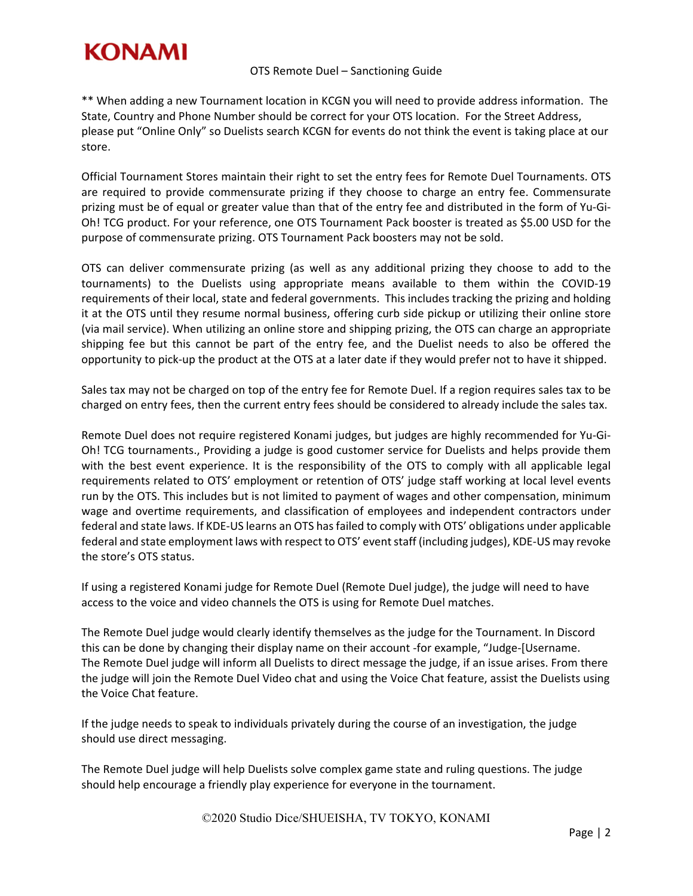

\*\* When adding a new Tournament location in KCGN you will need to provide address information. The State, Country and Phone Number should be correct for your OTS location. For the Street Address, please put "Online Only" so Duelists search KCGN for events do not think the event is taking place at our store.

Official Tournament Stores maintain their right to set the entry fees for Remote Duel Tournaments. OTS are required to provide commensurate prizing if they choose to charge an entry fee. Commensurate prizing must be of equal or greater value than that of the entry fee and distributed in the form of Yu‐Gi‐ Oh! TCG product. For your reference, one OTS Tournament Pack booster is treated as \$5.00 USD for the purpose of commensurate prizing. OTS Tournament Pack boosters may not be sold.

OTS can deliver commensurate prizing (as well as any additional prizing they choose to add to the tournaments) to the Duelists using appropriate means available to them within the COVID‐19 requirements of their local, state and federal governments. This includes tracking the prizing and holding it at the OTS until they resume normal business, offering curb side pickup or utilizing their online store (via mail service). When utilizing an online store and shipping prizing, the OTS can charge an appropriate shipping fee but this cannot be part of the entry fee, and the Duelist needs to also be offered the opportunity to pick‐up the product at the OTS at a later date if they would prefer not to have it shipped.

Sales tax may not be charged on top of the entry fee for Remote Duel. If a region requires sales tax to be charged on entry fees, then the current entry fees should be considered to already include the sales tax.

Remote Duel does not require registered Konami judges, but judges are highly recommended for Yu‐Gi‐ Oh! TCG tournaments., Providing a judge is good customer service for Duelists and helps provide them with the best event experience. It is the responsibility of the OTS to comply with all applicable legal requirements related to OTS' employment or retention of OTS' judge staff working at local level events run by the OTS. This includes but is not limited to payment of wages and other compensation, minimum wage and overtime requirements, and classification of employees and independent contractors under federal and state laws. If KDE‐US learns an OTS hasfailed to comply with OTS' obligations under applicable federal and state employment laws with respect to OTS' event staff (including judges), KDE-US may revoke the store's OTS status.

If using a registered Konami judge for Remote Duel (Remote Duel judge), the judge will need to have access to the voice and video channels the OTS is using for Remote Duel matches.

The Remote Duel judge would clearly identify themselves as the judge for the Tournament. In Discord this can be done by changing their display name on their account ‐for example, "Judge‐[Username. The Remote Duel judge will inform all Duelists to direct message the judge, if an issue arises. From there the judge will join the Remote Duel Video chat and using the Voice Chat feature, assist the Duelists using the Voice Chat feature.

If the judge needs to speak to individuals privately during the course of an investigation, the judge should use direct messaging.

The Remote Duel judge will help Duelists solve complex game state and ruling questions. The judge should help encourage a friendly play experience for everyone in the tournament.

©2020 Studio Dice/SHUEISHA, TV TOKYO, KONAMI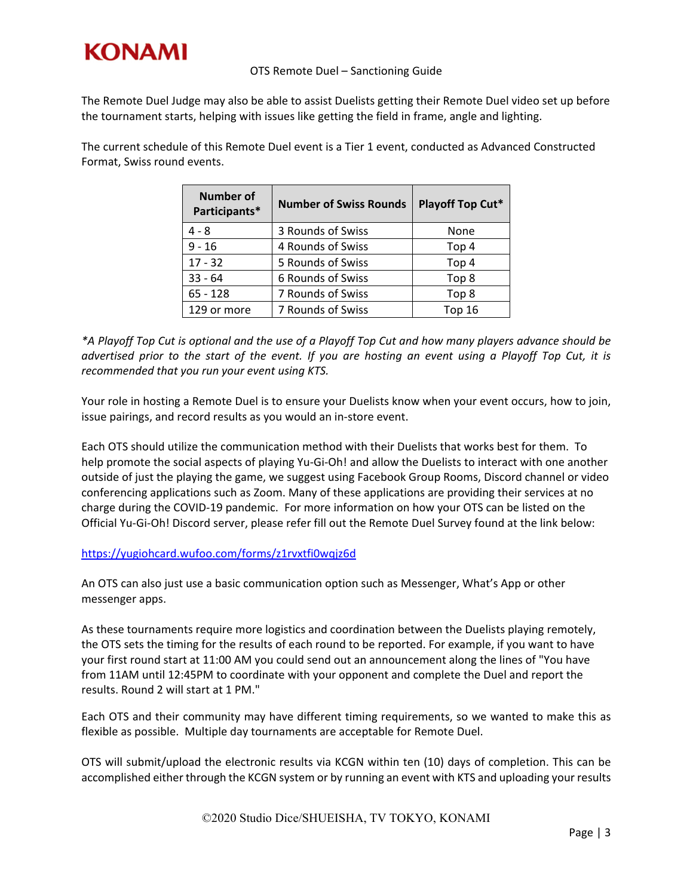

The Remote Duel Judge may also be able to assist Duelists getting their Remote Duel video set up before the tournament starts, helping with issues like getting the field in frame, angle and lighting.

The current schedule of this Remote Duel event is a Tier 1 event, conducted as Advanced Constructed Format, Swiss round events.

| <b>Number of</b><br>Participants* | <b>Number of Swiss Rounds</b> | Playoff Top Cut* |
|-----------------------------------|-------------------------------|------------------|
| $4 - 8$                           | 3 Rounds of Swiss             | None             |
| $9 - 16$                          | 4 Rounds of Swiss             | Top 4            |
| $17 - 32$                         | 5 Rounds of Swiss             | Top 4            |
| $33 - 64$                         | 6 Rounds of Swiss             | Top 8            |
| $65 - 128$                        | 7 Rounds of Swiss             | Top 8            |
| 129 or more                       | 7 Rounds of Swiss             | <b>Top 16</b>    |

\*A Playoff Top Cut is optional and the use of a Playoff Top Cut and how many players advance should be advertised prior to the start of the event. If you are hosting an event using a Playoff Top Cut, it is *recommended that you run your event using KTS.*

Your role in hosting a Remote Duel is to ensure your Duelists know when your event occurs, how to join, issue pairings, and record results as you would an in‐store event.

Each OTS should utilize the communication method with their Duelists that works best for them. To help promote the social aspects of playing Yu‐Gi‐Oh! and allow the Duelists to interact with one another outside of just the playing the game, we suggest using Facebook Group Rooms, Discord channel or video conferencing applications such as Zoom. Many of these applications are providing their services at no charge during the COVID‐19 pandemic. For more information on how your OTS can be listed on the Official Yu‐Gi‐Oh! Discord server, please refer fill out the Remote Duel Survey found at the link below:

## https://yugiohcard.wufoo.com/forms/z1rvxtfi0wqjz6d

An OTS can also just use a basic communication option such as Messenger, What's App or other messenger apps.

As these tournaments require more logistics and coordination between the Duelists playing remotely, the OTS sets the timing for the results of each round to be reported. For example, if you want to have your first round start at 11:00 AM you could send out an announcement along the lines of "You have from 11AM until 12:45PM to coordinate with your opponent and complete the Duel and report the results. Round 2 will start at 1 PM."

Each OTS and their community may have different timing requirements, so we wanted to make this as flexible as possible. Multiple day tournaments are acceptable for Remote Duel.

OTS will submit/upload the electronic results via KCGN within ten (10) days of completion. This can be accomplished either through the KCGN system or by running an event with KTS and uploading your results